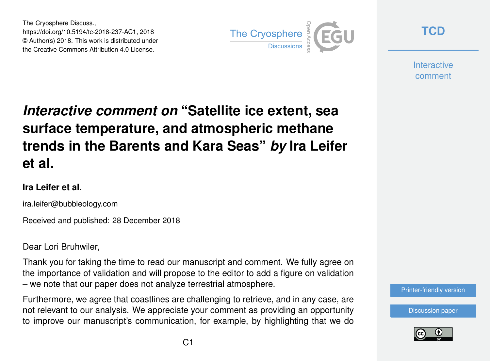The Cryosphere Discuss., https://doi.org/10.5194/tc-2018-237-AC1, 2018 © Author(s) 2018. This work is distributed under the Creative Commons Attribution 4.0 License.



**[TCD](https://www.the-cryosphere-discuss.net/)**

**Interactive** comment

## *Interactive comment on* **"Satellite ice extent, sea surface temperature, and atmospheric methane trends in the Barents and Kara Seas"** *by* **Ira Leifer et al.**

## **Ira Leifer et al.**

ira.leifer@bubbleology.com

Received and published: 28 December 2018

Dear Lori Bruhwiler,

Thank you for taking the time to read our manuscript and comment. We fully agree on the importance of validation and will propose to the editor to add a figure on validation – we note that our paper does not analyze terrestrial atmosphere.

Furthermore, we agree that coastlines are challenging to retrieve, and in any case, are not relevant to our analysis. We appreciate your comment as providing an opportunity to improve our manuscript's communication, for example, by highlighting that we do



[Discussion paper](https://www.the-cryosphere-discuss.net/tc-2018-237)